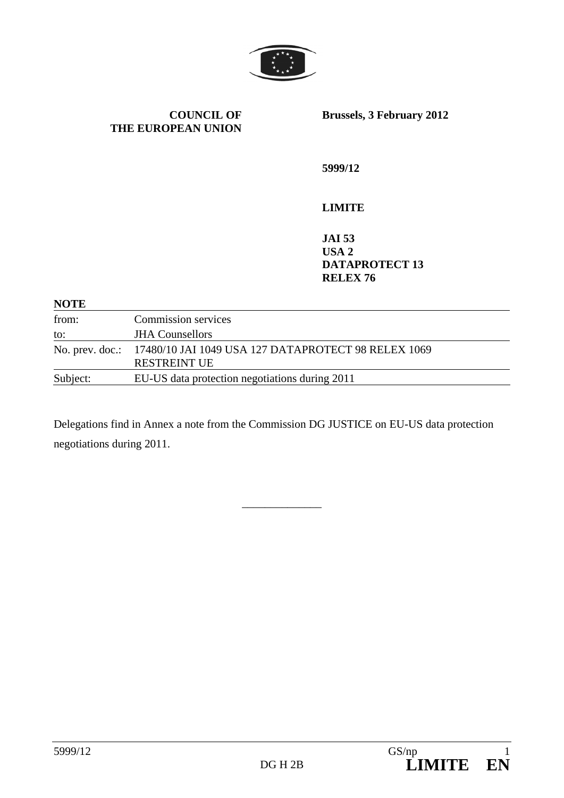

**COUNCIL OF THE EUROPEAN UNION** **Brussels, 3 February 2012** 

**5999/12** 

**LIMITE** 

**JAI 53 USA 2 DATAPROTECT 13 RELEX 76** 

## **NOTE**

| <b>Commission services</b>                                                                 |
|--------------------------------------------------------------------------------------------|
| <b>JHA</b> Counsellors                                                                     |
| No. prev. doc.: 17480/10 JAI 1049 USA 127 DATAPROTECT 98 RELEX 1069<br><b>RESTREINT UE</b> |
| EU-US data protection negotiations during 2011                                             |
|                                                                                            |

Delegations find in Annex a note from the Commission DG JUSTICE on EU-US data protection negotiations during 2011.

\_\_\_\_\_\_\_\_\_\_\_\_\_\_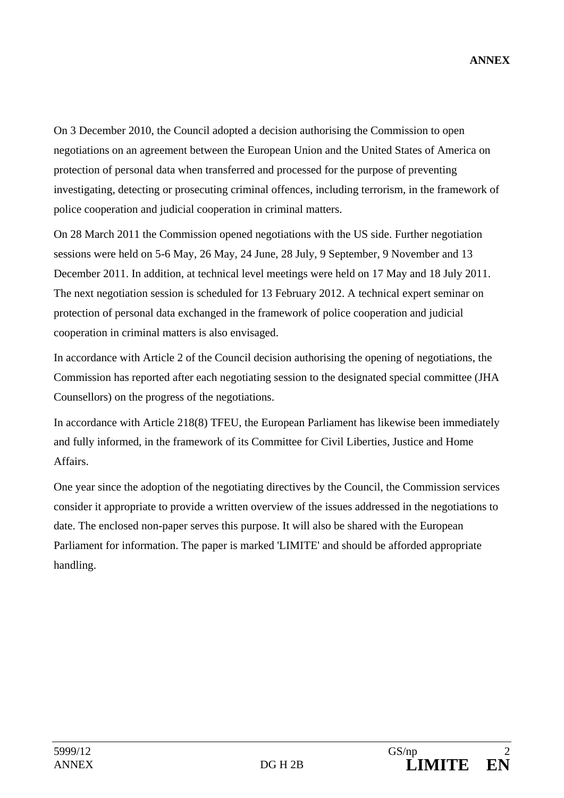On 3 December 2010, the Council adopted a decision authorising the Commission to open negotiations on an agreement between the European Union and the United States of America on protection of personal data when transferred and processed for the purpose of preventing investigating, detecting or prosecuting criminal offences, including terrorism, in the framework of police cooperation and judicial cooperation in criminal matters.

On 28 March 2011 the Commission opened negotiations with the US side. Further negotiation sessions were held on 5-6 May, 26 May, 24 June, 28 July, 9 September, 9 November and 13 December 2011. In addition, at technical level meetings were held on 17 May and 18 July 2011. The next negotiation session is scheduled for 13 February 2012. A technical expert seminar on protection of personal data exchanged in the framework of police cooperation and judicial cooperation in criminal matters is also envisaged.

In accordance with Article 2 of the Council decision authorising the opening of negotiations, the Commission has reported after each negotiating session to the designated special committee (JHA Counsellors) on the progress of the negotiations.

In accordance with Article 218(8) TFEU, the European Parliament has likewise been immediately and fully informed, in the framework of its Committee for Civil Liberties, Justice and Home Affairs.

One year since the adoption of the negotiating directives by the Council, the Commission services consider it appropriate to provide a written overview of the issues addressed in the negotiations to date. The enclosed non-paper serves this purpose. It will also be shared with the European Parliament for information. The paper is marked 'LIMITE' and should be afforded appropriate handling.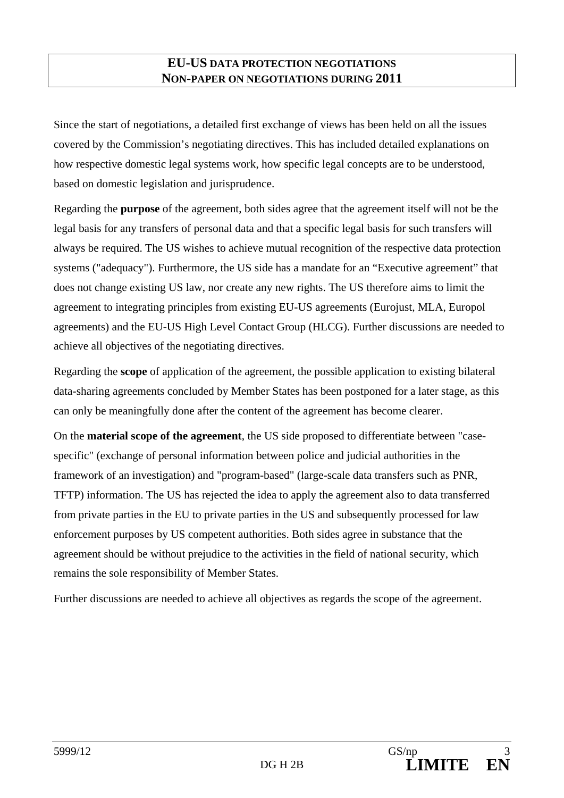## **EU-US DATA PROTECTION NEGOTIATIONS NON-PAPER ON NEGOTIATIONS DURING 2011**

Since the start of negotiations, a detailed first exchange of views has been held on all the issues covered by the Commission's negotiating directives. This has included detailed explanations on how respective domestic legal systems work, how specific legal concepts are to be understood, based on domestic legislation and jurisprudence.

Regarding the **purpose** of the agreement, both sides agree that the agreement itself will not be the legal basis for any transfers of personal data and that a specific legal basis for such transfers will always be required. The US wishes to achieve mutual recognition of the respective data protection systems ("adequacy"). Furthermore, the US side has a mandate for an "Executive agreement" that does not change existing US law, nor create any new rights. The US therefore aims to limit the agreement to integrating principles from existing EU-US agreements (Eurojust, MLA, Europol agreements) and the EU-US High Level Contact Group (HLCG). Further discussions are needed to achieve all objectives of the negotiating directives.

Regarding the **scope** of application of the agreement, the possible application to existing bilateral data-sharing agreements concluded by Member States has been postponed for a later stage, as this can only be meaningfully done after the content of the agreement has become clearer.

On the **material scope of the agreement**, the US side proposed to differentiate between "casespecific" (exchange of personal information between police and judicial authorities in the framework of an investigation) and "program-based" (large-scale data transfers such as PNR, TFTP) information. The US has rejected the idea to apply the agreement also to data transferred from private parties in the EU to private parties in the US and subsequently processed for law enforcement purposes by US competent authorities. Both sides agree in substance that the agreement should be without prejudice to the activities in the field of national security, which remains the sole responsibility of Member States.

Further discussions are needed to achieve all objectives as regards the scope of the agreement.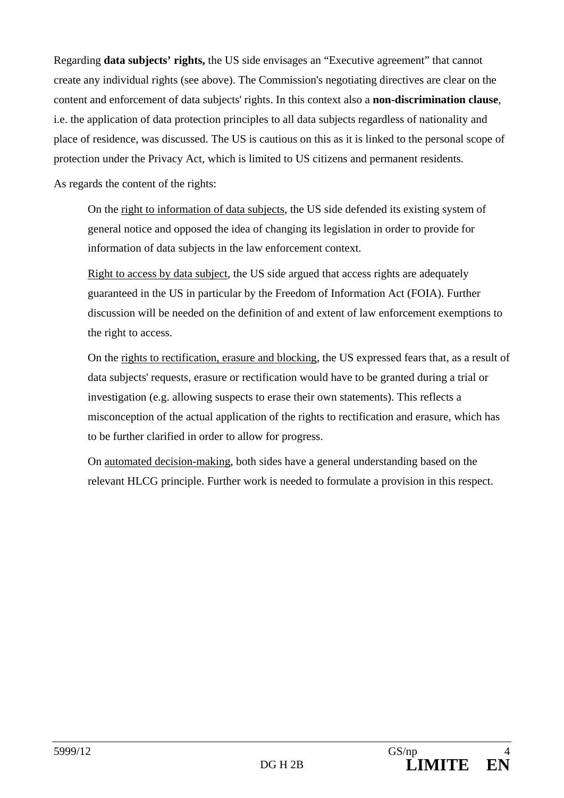Regarding **data subjects' rights,** the US side envisages an "Executive agreement" that cannot create any individual rights (see above). The Commission's negotiating directives are clear on the content and enforcement of data subjects' rights. In this context also a **non-discrimination clause**, i.e. the application of data protection principles to all data subjects regardless of nationality and place of residence, was discussed. The US is cautious on this as it is linked to the personal scope of protection under the Privacy Act, which is limited to US citizens and permanent residents.

As regards the content of the rights:

On the right to information of data subjects, the US side defended its existing system of general notice and opposed the idea of changing its legislation in order to provide for information of data subjects in the law enforcement context.

Right to access by data subject, the US side argued that access rights are adequately guaranteed in the US in particular by the Freedom of Information Act (FOIA). Further discussion will be needed on the definition of and extent of law enforcement exemptions to the right to access.

On the rights to rectification, erasure and blocking, the US expressed fears that, as a result of data subjects' requests, erasure or rectification would have to be granted during a trial or investigation (e.g. allowing suspects to erase their own statements). This reflects a misconception of the actual application of the rights to rectification and erasure, which has to be further clarified in order to allow for progress.

On automated decision-making, both sides have a general understanding based on the relevant HLCG principle. Further work is needed to formulate a provision in this respect.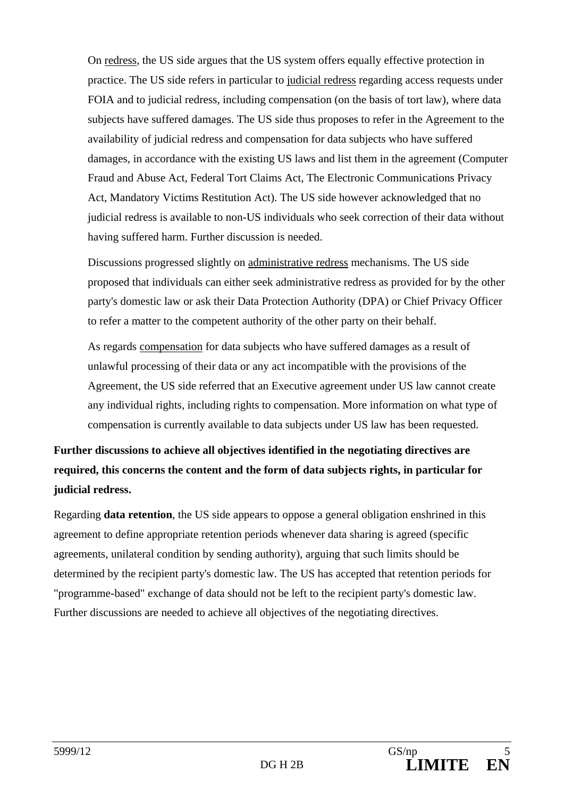On redress, the US side argues that the US system offers equally effective protection in practice. The US side refers in particular to judicial redress regarding access requests under FOIA and to judicial redress, including compensation (on the basis of tort law), where data subjects have suffered damages. The US side thus proposes to refer in the Agreement to the availability of judicial redress and compensation for data subjects who have suffered damages, in accordance with the existing US laws and list them in the agreement (Computer Fraud and Abuse Act, Federal Tort Claims Act, The Electronic Communications Privacy Act, Mandatory Victims Restitution Act). The US side however acknowledged that no judicial redress is available to non-US individuals who seek correction of their data without having suffered harm. Further discussion is needed.

Discussions progressed slightly on administrative redress mechanisms. The US side proposed that individuals can either seek administrative redress as provided for by the other party's domestic law or ask their Data Protection Authority (DPA) or Chief Privacy Officer to refer a matter to the competent authority of the other party on their behalf.

As regards compensation for data subjects who have suffered damages as a result of unlawful processing of their data or any act incompatible with the provisions of the Agreement, the US side referred that an Executive agreement under US law cannot create any individual rights, including rights to compensation. More information on what type of compensation is currently available to data subjects under US law has been requested.

**Further discussions to achieve all objectives identified in the negotiating directives are required, this concerns the content and the form of data subjects rights, in particular for judicial redress.** 

Regarding **data retention**, the US side appears to oppose a general obligation enshrined in this agreement to define appropriate retention periods whenever data sharing is agreed (specific agreements, unilateral condition by sending authority), arguing that such limits should be determined by the recipient party's domestic law. The US has accepted that retention periods for "programme-based" exchange of data should not be left to the recipient party's domestic law. Further discussions are needed to achieve all objectives of the negotiating directives.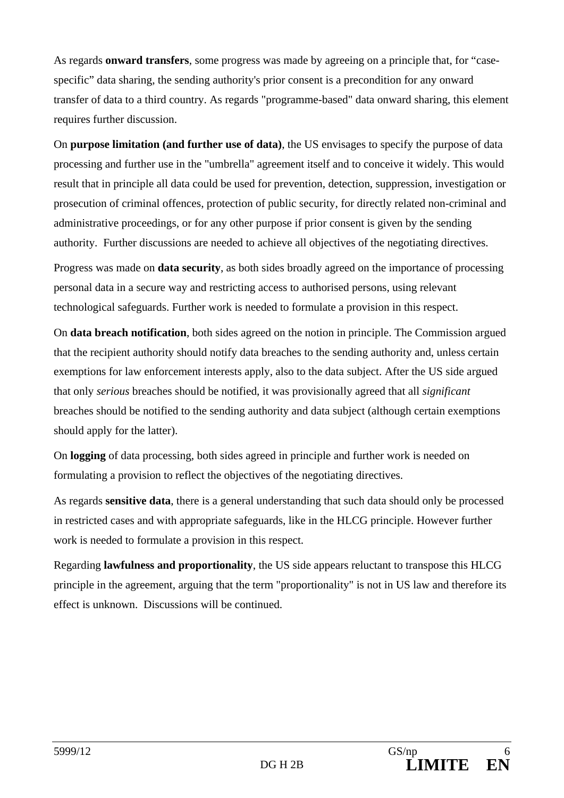As regards **onward transfers**, some progress was made by agreeing on a principle that, for "casespecific" data sharing, the sending authority's prior consent is a precondition for any onward transfer of data to a third country. As regards "programme-based" data onward sharing, this element requires further discussion.

On **purpose limitation (and further use of data)**, the US envisages to specify the purpose of data processing and further use in the "umbrella" agreement itself and to conceive it widely. This would result that in principle all data could be used for prevention, detection, suppression, investigation or prosecution of criminal offences, protection of public security, for directly related non-criminal and administrative proceedings, or for any other purpose if prior consent is given by the sending authority. Further discussions are needed to achieve all objectives of the negotiating directives.

Progress was made on **data security**, as both sides broadly agreed on the importance of processing personal data in a secure way and restricting access to authorised persons, using relevant technological safeguards. Further work is needed to formulate a provision in this respect.

On **data breach notification**, both sides agreed on the notion in principle. The Commission argued that the recipient authority should notify data breaches to the sending authority and, unless certain exemptions for law enforcement interests apply, also to the data subject. After the US side argued that only *serious* breaches should be notified, it was provisionally agreed that all *significant* breaches should be notified to the sending authority and data subject (although certain exemptions should apply for the latter).

On **logging** of data processing, both sides agreed in principle and further work is needed on formulating a provision to reflect the objectives of the negotiating directives.

As regards **sensitive data**, there is a general understanding that such data should only be processed in restricted cases and with appropriate safeguards, like in the HLCG principle. However further work is needed to formulate a provision in this respect.

Regarding **lawfulness and proportionality**, the US side appears reluctant to transpose this HLCG principle in the agreement, arguing that the term "proportionality" is not in US law and therefore its effect is unknown. Discussions will be continued.